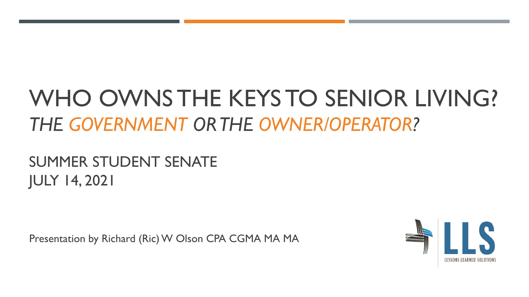# WHO OWNS THE KEYS TO SENIOR LIVING? *THE GOVERNMENT OR THE OWNER/OPERATOR?*

#### SUMMER STUDENT SENATE JULY 14, 2021

Presentation by Richard (Ric) W Olson CPA CGMA MA MA

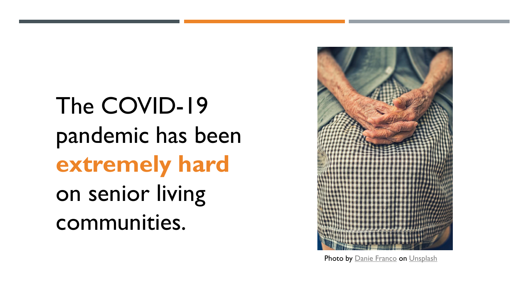The COVID-19 pandemic has been **extremely hard**  on senior living communities.



Photo by [Danie Franco](https://unsplash.com/@dani_franco?utm_source=unsplash&utm_medium=referral&utm_content=creditCopyText) on [Unsplash](https://unsplash.com/s/photos/senior-living?utm_source=unsplash&utm_medium=referral&utm_content=creditCopyText)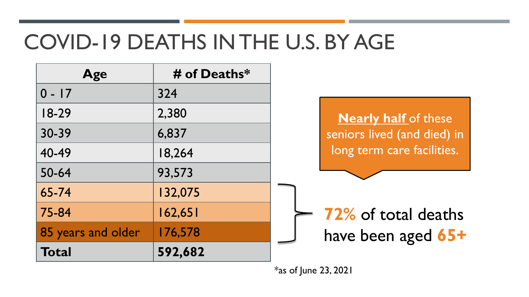# COVID-19 DEATHS IN THE U.S. BY AGE

| Age                | # of Deaths* |                             |
|--------------------|--------------|-----------------------------|
| $0 - 17$           | 324          |                             |
| $18-29$            | 2,380        | <b>Nearly half</b> of these |
| 30-39              | 6,837        | seniors lived (and died) in |
| 40-49              | 18,264       | long term care facilities.  |
| 50-64              | 93,573       |                             |
| 65-74              | 132,075      |                             |
| 75-84              | 162,651      | <b>72% of total deaths</b>  |
| 85 years and older | 176,578      | have been aged 65+          |
| <b>Total</b>       | 592,682      |                             |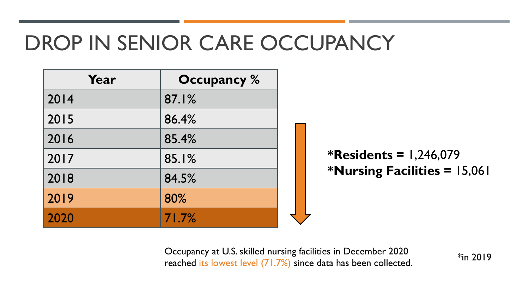# DROP IN SENIOR CARE OCCUPANCY

| Year | <b>Occupancy</b> % |                 |
|------|--------------------|-----------------|
| 2014 | 87.1%              |                 |
| 2015 | 86.4%              |                 |
| 2016 | 85.4%              |                 |
| 2017 | 85.1%              | $\blacklozenge$ |
| 2018 | 84.5%              | $\Rightarrow$   |
| 2019 | 80%                |                 |
| 2020 | 71.7%              |                 |

**\*Residents =** 1,246,079 **\*Nursing Facilities =** 15,061

Occupancy at U.S. skilled nursing facilities in December 2020  $*$ in 2019 reached its lowest level (71.7%) since data has been collected.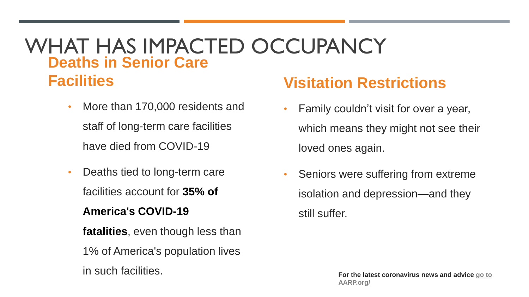#### WHAT HAS IMPACTED OCCUPANCY **Deaths in Senior Care**

**Facilities**

- More than 170,000 residents and staff of long-term care facilities have died from COVID-19
- Deaths tied to long-term care facilities account for **35% of**

#### **America's COVID-19**

- **fatalities**, even though less than
- 1% of America's population lives
- 

#### **Visitation Restrictions**

- Family couldn't visit for over a year, which means they might not see their loved ones again.
- Seniors were suffering from extreme isolation and depression—and they still suffer.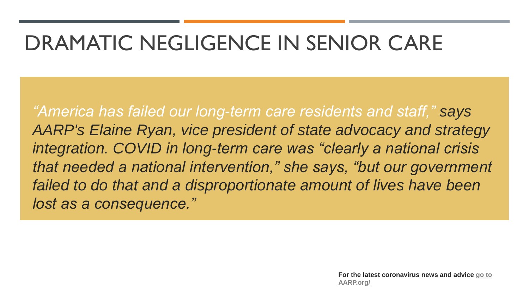# DRAMATIC NEGLIGENCE IN SENIOR CARE

*"America has failed our long-term care residents and staff," says AARP's Elaine Ryan, vice president of state advocacy and strategy integration. COVID in long-term care was "clearly a national crisis that needed a national intervention," she says, "but our government failed to do that and a disproportionate amount of lives have been lost as a consequence."*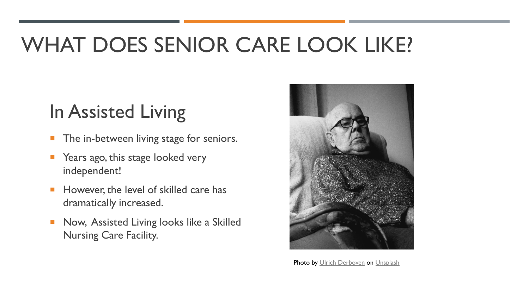# WHAT DOES SENIOR CARE LOOK LIKE?

## In Assisted Living

- **The in-between living stage for seniors.**
- Years ago, this stage looked very independent!
- **However, the level of skilled care has** dramatically increased.
- Now, Assisted Living looks like a Skilled Nursing Care Facility.



Photo by [Ulrich Derboven](https://unsplash.com/@ulrichderboven?utm_source=unsplash&utm_medium=referral&utm_content=creditCopyText) on [Unsplash](https://unsplash.com/s/photos/elderly?utm_source=unsplash&utm_medium=referral&utm_content=creditCopyText)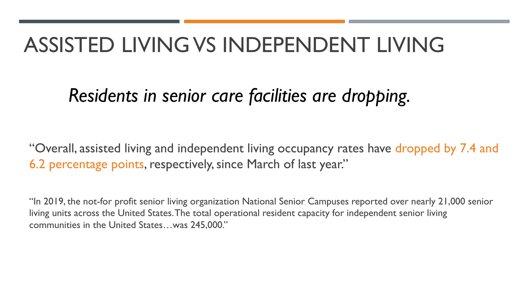## ASSISTED LIVING VS INDEPENDENT LIVING

### *Residents in senior care facilities are dropping.*

"Overall, assisted living and independent living occupancy rates have dropped by 7.4 and 6.2 percentage points, respectively, since March of last year."

"In 2019, the not-for profit senior living organization National Senior Campuses reported over nearly 21,000 senior living units across the United States. The total operational resident capacity for independent senior living communities in the United States…was 245,000."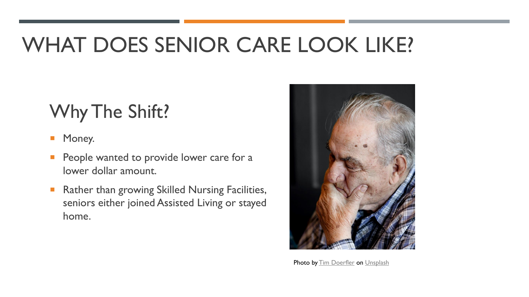# WHAT DOES SENIOR CARE LOOK LIKE?

## Why The Shift?

#### Money.

- People wanted to provide lower care for a lower dollar amount.
- Rather than growing Skilled Nursing Facilities, seniors either joined Assisted Living or stayed home.



Photo by [Tim Doerfler](https://unsplash.com/@tadoerfler?utm_source=unsplash&utm_medium=referral&utm_content=creditCopyText) on [Unsplash](https://unsplash.com/collections/63624789/modus?utm_source=unsplash&utm_medium=referral&utm_content=creditCopyText)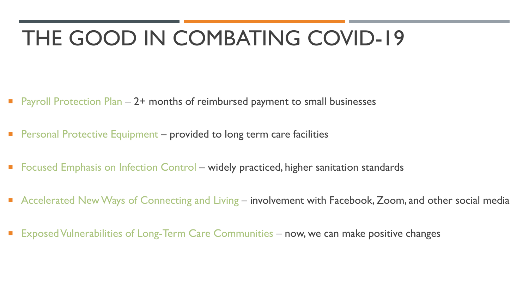# THE GOOD IN COMBATING COVID-19

- Payroll Protection Plan 2+ months of reimbursed payment to small businesses
- Personal Protective Equipment provided to long term care facilities
- Focused Emphasis on Infection Control widely practiced, higher sanitation standards
- Accelerated New Ways of Connecting and Living involvement with Facebook, Zoom, and other social media
- Exposed Vulnerabilities of Long-Term Care Communities now, we can make positive changes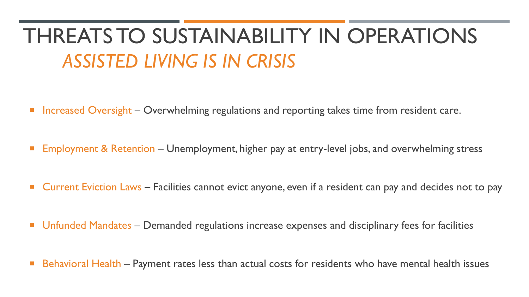# THREATS TO SUSTAINABILITY IN OPERATIONS *ASSISTED LIVING IS IN CRISIS*

- **Increased Oversight Overwhelming regulations and reporting takes time from resident care.**
- **Employment & Retention Unemployment, higher pay at entry-level jobs, and overwhelming stress**
- **Current Eviction Laws Facilities cannot evict anyone, even if a resident can pay and decides not to pay**
- **Unfunded Mandates Demanded regulations increase expenses and disciplinary fees for facilities**
- **Behavioral Health Payment rates less than actual costs for residents who have mental health issues**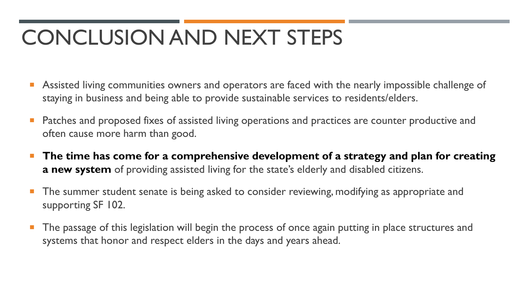# CONCLUSION AND NEXT STEPS

- Assisted living communities owners and operators are faced with the nearly impossible challenge of staying in business and being able to provide sustainable services to residents/elders.
- Patches and proposed fixes of assisted living operations and practices are counter productive and often cause more harm than good.
- **The time has come for a comprehensive development of a strategy and plan for creating a new system** of providing assisted living for the state's elderly and disabled citizens.
- The summer student senate is being asked to consider reviewing, modifying as appropriate and supporting SF 102.
- The passage of this legislation will begin the process of once again putting in place structures and systems that honor and respect elders in the days and years ahead.